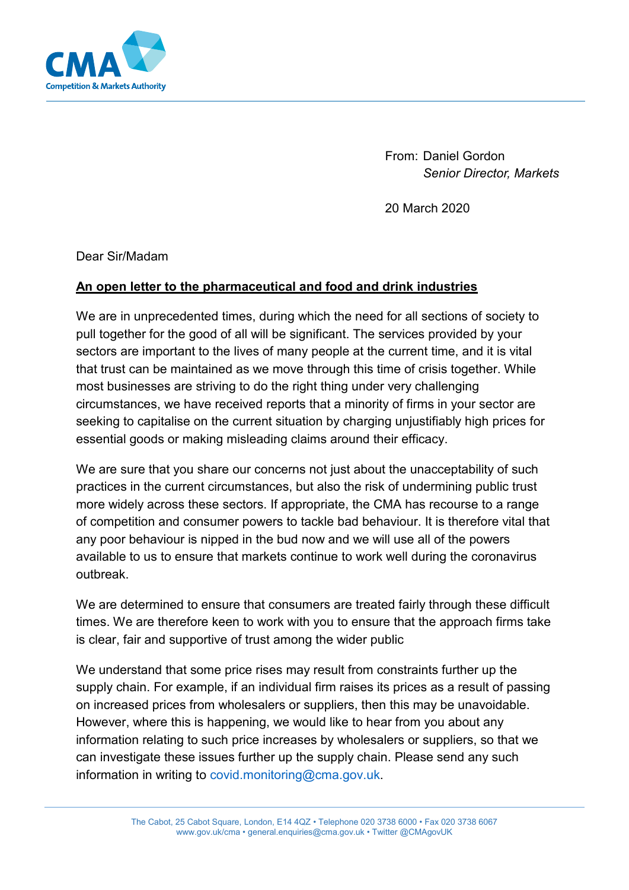

From: Daniel Gordon *Senior Director, Markets* 

20 March 2020

Dear Sir/Madam

## **An open letter to the pharmaceutical and food and drink industries**

We are in unprecedented times, during which the need for all sections of society to pull together for the good of all will be significant. The services provided by your sectors are important to the lives of many people at the current time, and it is vital that trust can be maintained as we move through this time of crisis together. While most businesses are striving to do the right thing under very challenging circumstances, we have received reports that a minority of firms in your sector are seeking to capitalise on the current situation by charging unjustifiably high prices for essential goods or making misleading claims around their efficacy.

We are sure that you share our concerns not just about the unacceptability of such practices in the current circumstances, but also the risk of undermining public trust more widely across these sectors. If appropriate, the CMA has recourse to a range of competition and consumer powers to tackle bad behaviour. It is therefore vital that any poor behaviour is nipped in the bud now and we will use all of the powers available to us to ensure that markets continue to work well during the coronavirus outbreak.

We are determined to ensure that consumers are treated fairly through these difficult times. We are therefore keen to work with you to ensure that the approach firms take is clear, fair and supportive of trust among the wider public

We understand that some price rises may result from constraints further up the supply chain. For example, if an individual firm raises its prices as a result of passing on increased prices from wholesalers or suppliers, then this may be unavoidable. However, where this is happening, we would like to hear from you about any information relating to such price increases by wholesalers or suppliers, so that we can investigate these issues further up the supply chain. Please send any such information in writing to [covid.monitoring@cma.gov.uk.](mailto:covid.monitoring@cma.gov.uk)